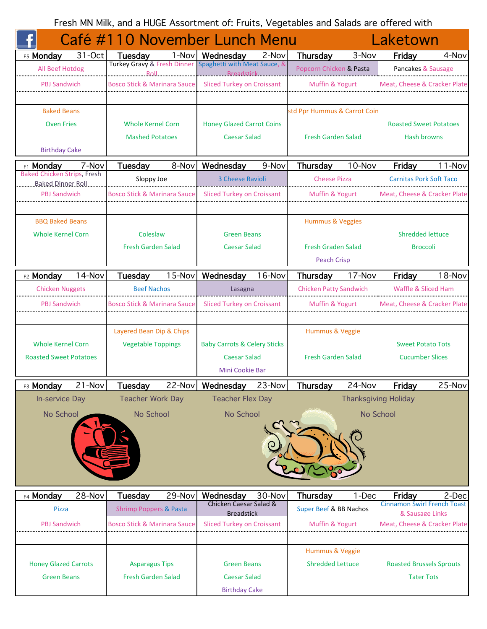Fresh MN Milk, and a HUGE Assortment of: Fruits, Vegetables and Salads are offered with

|                                                         |            | Café #110 November Lunch Menu           |         |                                                                       |          |                               |           | Laketown                                               |           |
|---------------------------------------------------------|------------|-----------------------------------------|---------|-----------------------------------------------------------------------|----------|-------------------------------|-----------|--------------------------------------------------------|-----------|
| F5 Monday                                               | 31-Oct     | <b>Tuesday</b>                          | $1-Nov$ | Wednesday<br>Turkey Gravy & Fresh Dinner Spaghetti with Meat Sauce, & | 2-Nov    | Thursday                      | 3-Nov     | Friday                                                 | 4-Nov     |
| All Beef Hotdog                                         |            | Roll.                                   |         | <b>Breadstick</b>                                                     |          | Popcorn Chicken & Pasta       |           | Pancakes & Sausage                                     |           |
| PBJ Sandwich                                            |            | <b>Bosco Stick &amp; Marinara Sauce</b> |         | <b>Sliced Turkey on Croissant</b>                                     |          | <b>Muffin &amp; Yogurt</b>    |           | Meat. Cheese & Cracker Plate                           |           |
|                                                         |            |                                         |         |                                                                       |          |                               |           |                                                        |           |
| <b>Baked Beans</b>                                      |            |                                         |         |                                                                       |          | std Ppr Hummus & Carrot Coir  |           |                                                        |           |
| <b>Oven Fries</b>                                       |            | <b>Whole Kernel Corn</b>                |         | <b>Honey Glazed Carrot Coins</b>                                      |          |                               |           | <b>Roasted Sweet Potatoes</b>                          |           |
|                                                         |            | <b>Mashed Potatoes</b>                  |         | <b>Caesar Salad</b>                                                   |          | <b>Fresh Garden Salad</b>     |           | Hash browns                                            |           |
| <b>Birthday Cake</b>                                    |            |                                         |         |                                                                       |          |                               |           |                                                        |           |
| <b>F1 Monday</b>                                        | 7-Nov      | Tuesday                                 | 8-Nov   | Wednesday                                                             | 9-Nov    | Thursday                      | 10-Nov    | Friday                                                 | $11$ -Nov |
| <b>Baked Chicken Strips, Fresh</b><br>Baked Dinner Roll |            | Sloppy Joe                              |         | <b>3 Cheese Ravioli</b>                                               |          | <b>Cheese Pizza</b>           |           | <b>Carnitas Pork Soft Taco</b>                         |           |
| <b>PBJ Sandwich</b>                                     |            | <b>Bosco Stick &amp; Marinara Sauce</b> |         | Sliced Turkey on Croissant                                            |          | Muffin & Yogurt               |           | Meat, Cheese & Cracker Plate                           |           |
|                                                         |            |                                         |         |                                                                       |          |                               |           |                                                        |           |
| <b>BBQ Baked Beans</b>                                  |            |                                         |         |                                                                       |          | <b>Hummus &amp; Veggies</b>   |           |                                                        |           |
| <b>Whole Kernel Corn</b>                                |            | Coleslaw                                |         | <b>Green Beans</b>                                                    |          |                               |           | <b>Shredded lettuce</b>                                |           |
|                                                         |            | <b>Fresh Garden Salad</b>               |         | <b>Caesar Salad</b>                                                   |          | <b>Fresh Graden Salad</b>     |           | <b>Broccoli</b>                                        |           |
|                                                         |            |                                         |         |                                                                       |          | <b>Peach Crisp</b>            |           |                                                        |           |
| F <sub>2</sub> Monday                                   | 14-Nov     | Tuesday                                 | 15-Nov  | Wednesday                                                             | 16-Nov   | Thursday                      | 17-Nov    | Friday                                                 | 18-Nov    |
| <b>Chicken Nuggets</b>                                  |            | <b>Beef Nachos</b>                      |         | Lasagna                                                               |          | <b>Chicken Patty Sandwich</b> |           | Waffle & Sliced Ham                                    |           |
| PBJ Sandwich                                            |            | Bosco Stick & Marinara Sauce            |         | Sliced Turkey on Croissant                                            |          | Muffin & Yogurt               |           | Meat, Cheese & Cracker Plate                           |           |
|                                                         |            |                                         |         |                                                                       |          |                               |           |                                                        |           |
|                                                         |            | Layered Bean Dip & Chips                |         |                                                                       |          | Hummus & Veggie               |           |                                                        |           |
| <b>Whole Kernel Corn</b>                                |            | <b>Vegetable Toppings</b>               |         | <b>Baby Carrots &amp; Celery Sticks</b>                               |          |                               |           | <b>Sweet Potato Tots</b>                               |           |
| <b>Roasted Sweet Potatoes</b>                           |            |                                         |         | <b>Caesar Salad</b>                                                   |          | <b>Fresh Garden Salad</b>     |           | <b>Cucumber Slices</b>                                 |           |
|                                                         |            |                                         |         | Mini Cookie Bar                                                       |          |                               |           |                                                        |           |
| F3 Monday                                               | $21 - Nov$ | <b>Tuesday</b>                          |         | 22-Nov Wednesday                                                      | $23-Nov$ | Thursday                      | $24$ -Nov | Friday                                                 | 25-Nov    |
| <b>In-service Day</b>                                   |            | <b>Teacher Work Day</b>                 |         | <b>Teacher Flex Day</b>                                               |          |                               |           | <b>Thanksgiving Holiday</b>                            |           |
| No School                                               |            | No School                               |         | No School                                                             |          |                               |           | No School                                              |           |
|                                                         |            |                                         |         |                                                                       |          |                               |           |                                                        |           |
|                                                         |            |                                         |         |                                                                       |          |                               |           |                                                        |           |
|                                                         |            |                                         |         |                                                                       |          |                               |           |                                                        |           |
|                                                         |            |                                         |         |                                                                       |          |                               |           |                                                        |           |
|                                                         |            |                                         |         |                                                                       |          |                               |           |                                                        |           |
| F4 Monday                                               | 28-Nov     | Tuesday                                 | 29-Nov  | Wednesday                                                             | 30-Nov   | Thursday                      | 1-Dec     | Friday                                                 | 2-Dec     |
| <b>Pizza</b>                                            |            | <b>Shrimp Poppers &amp; Pasta</b>       |         | Chicken Caesar Salad &<br>Breadstick                                  |          | Super Beef & BB Nachos        |           | <b>Cinnamon Swirl French Toast</b><br>8. Sausage Links |           |
| <b>PBJ Sandwich</b>                                     |            | <b>Bosco Stick &amp; Marinara Sauce</b> |         | <b>Sliced Turkey on Croissant</b>                                     |          | Muffin & Yogurt               |           | Meat, Cheese & Cracker Plate                           |           |
|                                                         |            |                                         |         |                                                                       |          |                               |           |                                                        |           |
|                                                         |            |                                         |         |                                                                       |          | Hummus & Veggie               |           |                                                        |           |
| <b>Honey Glazed Carrots</b>                             |            | <b>Asparagus Tips</b>                   |         | <b>Green Beans</b>                                                    |          | <b>Shredded Lettuce</b>       |           | <b>Roasted Brussels Sprouts</b>                        |           |
| <b>Green Beans</b>                                      |            | <b>Fresh Garden Salad</b>               |         | <b>Caesar Salad</b>                                                   |          |                               |           | <b>Tater Tots</b>                                      |           |
|                                                         |            |                                         |         | <b>Birthday Cake</b>                                                  |          |                               |           |                                                        |           |